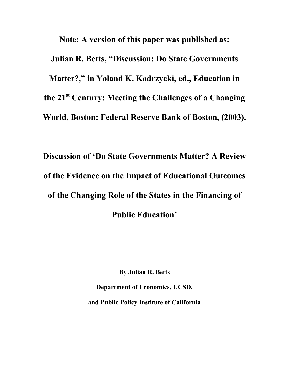**Note: A version of this paper was published as: Julian R. Betts, "Discussion: Do State Governments Matter?," in Yoland K. Kodrzycki, ed., Education in the 21st Century: Meeting the Challenges of a Changing World, Boston: Federal Reserve Bank of Boston, (2003).**

**Discussion of 'Do State Governments Matter? A Review of the Evidence on the Impact of Educational Outcomes of the Changing Role of the States in the Financing of Public Education'**

**By Julian R. Betts**

**Department of Economics, UCSD, and Public Policy Institute of California**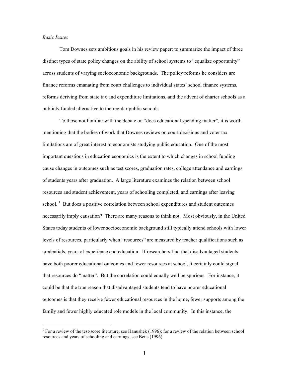### *Basic Issues*

Tom Downes sets ambitious goals in his review paper: to summarize the impact of three distinct types of state policy changes on the ability of school systems to "equalize opportunity" across students of varying socioeconomic backgrounds. The policy reforms he considers are finance reforms emanating from court challenges to individual states' school finance systems, reforms deriving from state tax and expenditure limitations, and the advent of charter schools as a publicly funded alternative to the regular public schools.

To those not familiar with the debate on "does educational spending matter", it is worth mentioning that the bodies of work that Downes reviews on court decisions and voter tax limitations are of great interest to economists studying public education. One of the most important questions in education economics is the extent to which changes in school funding cause changes in outcomes such as test scores, graduation rates, college attendance and earnings of students years after graduation. A large literature examines the relation between school resources and student achievement, years of schooling completed, and earnings after leaving school.  $\frac{1}{1}$  But does a positive correlation between school expenditures and student outcomes necessarily imply causation? There are many reasons to think not. Most obviously, in the United States today students of lower socioeconomic background still typically attend schools with lower levels of resources, particularly when "resources" are measured by teacher qualifications such as credentials, years of experience and education. If researchers find that disadvantaged students have both poorer educational outcomes and fewer resources at school, it certainly could signal that resources do "matter". But the correlation could equally well be spurious. For instance, it could be that the true reason that disadvantaged students tend to have poorer educational outcomes is that they receive fewer educational resources in the home, fewer supports among the family and fewer highly educated role models in the local community. In this instance, the

<sup>&</sup>lt;sup>1</sup> For a review of the test-score literature, see Hanushek (1996); for a review of the relation between school resources and years of schooling and earnings, see Betts (1996).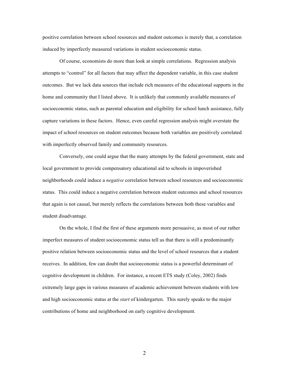positive correlation between school resources and student outcomes is merely that, a correlation induced by imperfectly measured variations in student socioeconomic status.

Of course, economists do more than look at simple correlations. Regression analysis attempts to "control" for all factors that may affect the dependent variable, in this case student outcomes. But we lack data sources that include rich measures of the educational supports in the home and community that I listed above. It is unlikely that commonly available measures of socioeconomic status, such as parental education and eligibility for school lunch assistance, fully capture variations in these factors. Hence, even careful regression analysis might overstate the impact of school resources on student outcomes because both variables are positively correlated with imperfectly observed family and community resources.

Conversely, one could argue that the many attempts by the federal government, state and local government to provide compensatory educational aid to schools in impoverished neighborhoods could induce a *negative* correlation between school resources and socioeconomic status. This could induce a negative correlation between student outcomes and school resources that again is not causal, but merely reflects the correlations between both these variables and student disadvantage.

On the whole, I find the first of these arguments more persuasive, as most of our rather imperfect measures of student socioeconomic status tell us that there is still a predominantly positive relation between socioeconomic status and the level of school resources that a student receives. In addition, few can doubt that socioeconomic status is a powerful determinant of cognitive development in children. For instance, a recent ETS study (Coley, 2002) finds extremely large gaps in various measures of academic achievement between students with low and high socioeconomic status at the *start* of kindergarten. This surely speaks to the major contributions of home and neighborhood on early cognitive development.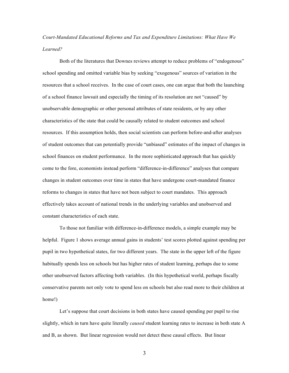# *Court-Mandated Educational Reforms and Tax and Expenditure Limitations: What Have We Learned?*

Both of the literatures that Downes reviews attempt to reduce problems of "endogenous" school spending and omitted variable bias by seeking "exogenous" sources of variation in the resources that a school receives. In the case of court cases, one can argue that both the launching of a school finance lawsuit and especially the timing of its resolution are not "caused" by unobservable demographic or other personal attributes of state residents, or by any other characteristics of the state that could be causally related to student outcomes and school resources. If this assumption holds, then social scientists can perform before-and-after analyses of student outcomes that can potentially provide "unbiased" estimates of the impact of changes in school finances on student performance. In the more sophisticated approach that has quickly come to the fore, economists instead perform "difference-in-difference" analyses that compare changes in student outcomes over time in states that have undergone court-mandated finance reforms to changes in states that have not been subject to court mandates. This approach effectively takes account of national trends in the underlying variables and unobserved and constant characteristics of each state.

To those not familiar with difference-in-difference models, a simple example may be helpful. Figure 1 shows average annual gains in students' test scores plotted against spending per pupil in two hypothetical states, for two different years. The state in the upper left of the figure habitually spends less on schools but has higher rates of student learning, perhaps due to some other unobserved factors affecting both variables. (In this hypothetical world, perhaps fiscally conservative parents not only vote to spend less on schools but also read more to their children at home!)

Let's suppose that court decisions in both states have caused spending per pupil to rise slightly, which in turn have quite literally *caused* student learning rates to increase in both state A and B, as shown. But linear regression would not detect these causal effects. But linear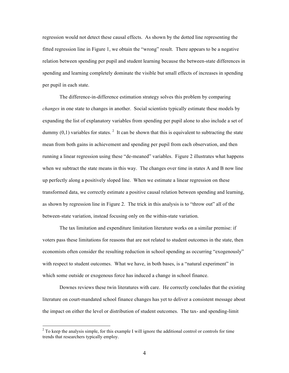regression would not detect these causal effects. As shown by the dotted line representing the fitted regression line in Figure 1, we obtain the "wrong" result. There appears to be a negative relation between spending per pupil and student learning because the between-state differences in spending and learning completely dominate the visible but small effects of increases in spending per pupil in each state.

The difference-in-difference estimation strategy solves this problem by comparing *changes* in one state to changes in another. Social scientists typically estimate these models by expanding the list of explanatory variables from spending per pupil alone to also include a set of dummy  $(0,1)$  variables for states.<sup>2</sup> It can be shown that this is equivalent to subtracting the state mean from both gains in achievement and spending per pupil from each observation, and then running a linear regression using these "de-meaned" variables. Figure 2 illustrates what happens when we subtract the state means in this way. The changes over time in states A and B now line up perfectly along a positively sloped line. When we estimate a linear regression on these transformed data, we correctly estimate a positive causal relation between spending and learning, as shown by regression line in Figure 2. The trick in this analysis is to "throw out" all of the between-state variation, instead focusing only on the within-state variation.

The tax limitation and expenditure limitation literature works on a similar premise: if voters pass these limitations for reasons that are not related to student outcomes in the state, then economists often consider the resulting reduction in school spending as occurring "exogenously" with respect to student outcomes. What we have, in both bases, is a "natural experiment" in which some outside or exogenous force has induced a change in school finance.

Downes reviews these twin literatures with care. He correctly concludes that the existing literature on court-mandated school finance changes has yet to deliver a consistent message about the impact on either the level or distribution of student outcomes. The tax- and spending-limit

 $2$  To keep the analysis simple, for this example I will ignore the additional control or controls for time trends that researchers typically employ.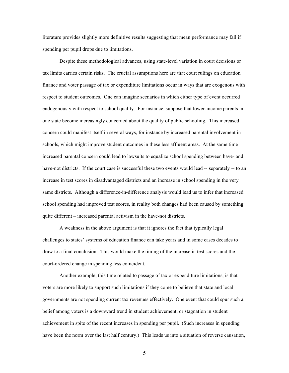literature provides slightly more definitive results suggesting that mean performance may fall if spending per pupil drops due to limitations.

Despite these methodological advances, using state-level variation in court decisions or tax limits carries certain risks. The crucial assumptions here are that court rulings on education finance and voter passage of tax or expenditure limitations occur in ways that are exogenous with respect to student outcomes. One can imagine scenarios in which either type of event occurred endogenously with respect to school quality. For instance, suppose that lower-income parents in one state become increasingly concerned about the quality of public schooling. This increased concern could manifest itself in several ways, for instance by increased parental involvement in schools, which might improve student outcomes in these less affluent areas. At the same time increased parental concern could lead to lawsuits to equalize school spending between have- and have-not districts. If the court case is successful these two events would lead -- separately -- to an increase in test scores in disadvantaged districts and an increase in school spending in the very same districts. Although a difference-in-difference analysis would lead us to infer that increased school spending had improved test scores, in reality both changes had been caused by something quite different – increased parental activism in the have-not districts.

A weakness in the above argument is that it ignores the fact that typically legal challenges to states' systems of education finance can take years and in some cases decades to draw to a final conclusion. This would make the timing of the increase in test scores and the court-ordered change in spending less coincident.

Another example, this time related to passage of tax or expenditure limitations, is that voters are more likely to support such limitations if they come to believe that state and local governments are not spending current tax revenues effectively. One event that could spur such a belief among voters is a downward trend in student achievement, or stagnation in student achievement in spite of the recent increases in spending per pupil. (Such increases in spending have been the norm over the last half century.) This leads us into a situation of reverse causation,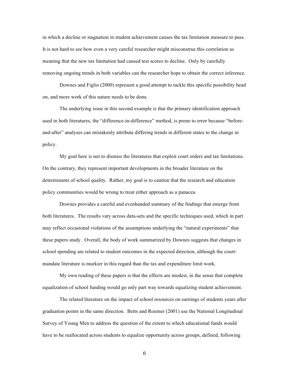in which a decline or stagnation in student achievement causes the tax limitation measure to pass. It is not hard to see how even a very careful researcher might misconstrue this correlation as meaning that the new tax limitation had caused test scores to decline. Only by carefully removing ongoing trends in both variables can the researcher hope to obtain the correct inference.

Downes and Figlio (2000) represent a good attempt to tackle this specific possibility head on, and more work of this nature needs to be done.

The underlying issue in this second example is that the primary identification approach used in both literatures, the "difference-in-difference" method, is prone to error because "beforeand-after" analyses can mistakenly attribute differing trends in different states to the change in policy.

My goal here is not to dismiss the literatures that exploit court orders and tax limitations. On the contrary, they represent important developments in the broader literature on the determinants of school quality. Rather, my goal is to caution that the research and education policy communities would be wrong to treat either approach as a panacea.

Downes provides a careful and evenhanded summary of the findings that emerge from both literatures. The results vary across data-sets and the specific techniques used, which in part may reflect occasional violations of the assumptions underlying the "natural experiments" that these papers study. Overall, the body of work summarized by Downes suggests that changes in school spending are related to student outcomes in the expected direction, although the courtmandate literature is murkier in this regard than the tax and expenditure limit work.

My own reading of these papers is that the effects are modest, in the sense that complete equalization of school funding would go only part way towards equalizing student achievement.

The related literature on the impact of school resources on earnings of students years after graduation points in the same direction. Betts and Roemer (2001) use the National Longitudinal Survey of Young Men to address the question of the extent to which educational funds would have to be reallocated across students to equalize opportunity across groups, defined, following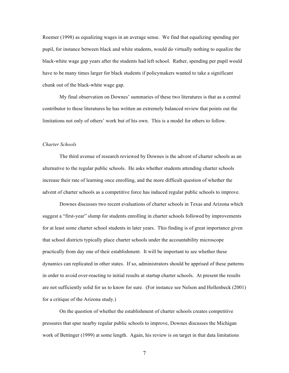Roemer (1998) as equalizing wages in an average sense. We find that equalizing spending per pupil, for instance between black and white students, would do virtually nothing to equalize the black-white wage gap years after the students had left school. Rather, spending per pupil would have to be many times larger for black students if policymakers wanted to take a significant chunk out of the black-white wage gap.

My final observation on Downes' summaries of these two literatures is that as a central contributor to these literatures he has written an extremely balanced review that points out the limitations not only of others' work but of his own. This is a model for others to follow.

#### *Charter Schools*

The third avenue of research reviewed by Downes is the advent of charter schools as an alternative to the regular public schools. He asks whether students attending charter schools increase their rate of learning once enrolling, and the more difficult question of whether the advent of charter schools as a competitive force has induced regular public schools to improve.

Downes discusses two recent evaluations of charter schools in Texas and Arizona which suggest a "first-year" slump for students enrolling in charter schools followed by improvements for at least some charter school students in later years. This finding is of great importance given that school districts typically place charter schools under the accountability microscope practically from day one of their establishment. It will be important to see whether these dynamics can replicated in other states. If so, administrators should be apprised of these patterns in order to avoid over-reacting to initial results at startup charter schools. At present the results are not sufficiently solid for us to know for sure. (For instance see Nelson and Hollenbeck (2001) for a critique of the Arizona study.)

On the question of whether the establishment of charter schools creates competitive pressures that spur nearby regular public schools to improve, Downes discusses the Michigan work of Bettinger (1999) at some length. Again, his review is on target in that data limitations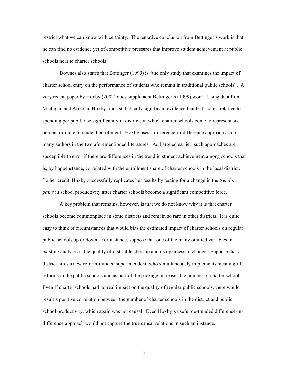restrict what we can know with certainty. The tentative conclusion from Bettinger's work is that he can find no evidence yet of competitive pressures that improve student achievement at public schools near to charter schools.

Downes also states that Bettinger (1999) is "the only study that examines the impact of charter school entry on the performance of students who remain in traditional public schools". A very recent paper by Hoxby (2002) does supplement Bettinger's (1999) work. Using data from Michigan and Arizona, Hoxby finds statistically significant evidence that test scores, relative to spending per pupil, rise significantly in districts in which charter schools come to represent six percent or more of student enrollment. Hoxby uses a difference-in-difference approach as do many authors in the two aforementioned literatures. As I argued earlier, such approaches are susceptible to error if there are differences in the trend in student achievement among schools that is, by happenstance, correlated with the enrollment share of charter schools in the local district. To her credit, Hoxby successfully replicates her results by testing for a change in the *trend in gains* in school productivity after charter schools become a significant competitive force.

A key problem that remains, however, is that we do not know why it is that charter schools become commonplace in some districts and remain so rare in other districts. It is quite easy to think of circumstances that would bias the estimated impact of charter schools on regular public schools up or down. For instance, suppose that one of the many omitted variables in existing analyses is the quality of district leadership and its openness to change. Suppose that a district hires a new reform-minded superintendent, who simultaneously implements meaningful reforms in the public schools and as part of the package increases the number of charter schools. Even if charter schools had no real impact on the quality of regular public schools, there would result a positive correlation between the number of charter schools in the district and public school productivity, which again was not causal. Even Hoxby's useful de-trended difference-indifference approach would not capture the true causal relations in such an instance.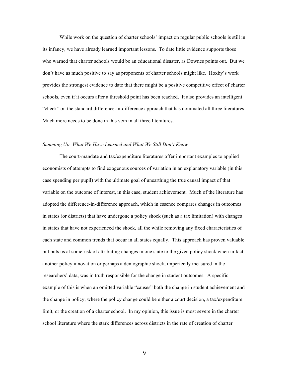While work on the question of charter schools' impact on regular public schools is still in its infancy, we have already learned important lessons. To date little evidence supports those who warned that charter schools would be an educational disaster, as Downes points out. But we don't have as much positive to say as proponents of charter schools might like. Hoxby's work provides the strongest evidence to date that there might be a positive competitive effect of charter schools, even if it occurs after a threshold point has been reached. It also provides an intelligent "check" on the standard difference-in-difference approach that has dominated all three literatures. Much more needs to be done in this vein in all three literatures.

#### *Summing Up: What We Have Learned and What We Still Don't Know*

The court-mandate and tax/expenditure literatures offer important examples to applied economists of attempts to find exogenous sources of variation in an explanatory variable (in this case spending per pupil) with the ultimate goal of unearthing the true causal impact of that variable on the outcome of interest, in this case, student achievement. Much of the literature has adopted the difference-in-difference approach, which in essence compares changes in outcomes in states (or districts) that have undergone a policy shock (such as a tax limitation) with changes in states that have not experienced the shock, all the while removing any fixed characteristics of each state and common trends that occur in all states equally. This approach has proven valuable but puts us at some risk of attributing changes in one state to the given policy shock when in fact another policy innovation or perhaps a demographic shock, imperfectly measured in the researchers' data, was in truth responsible for the change in student outcomes. A specific example of this is when an omitted variable "causes" both the change in student achievement and the change in policy, where the policy change could be either a court decision, a tax/expenditure limit, or the creation of a charter school. In my opinion, this issue is most severe in the charter school literature where the stark differences across districts in the rate of creation of charter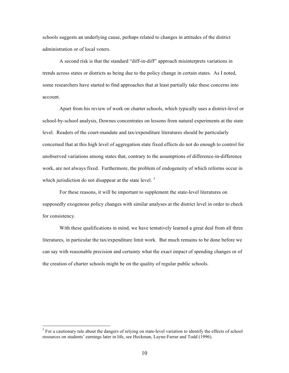schools suggests an underlying cause, perhaps related to changes in attitudes of the district administration or of local voters.

A second risk is that the standard "diff-in-diff" approach misinterprets variations in trends across states or districts as being due to the policy change in certain states. As I noted, some researchers have started to find approaches that at least partially take these concerns into account.

Apart from his review of work on charter schools, which typically uses a district-level or school-by-school analysis, Downes concentrates on lessons from natural experiments at the state level. Readers of the court-mandate and tax/expenditure literatures should be particularly concerned that at this high level of aggregation state fixed effects do not do enough to control for unobserved variations among states that, contrary to the assumptions of difference-in-difference work, are not always fixed. Furthermore, the problem of endogeneity of which reforms occur in which jurisdiction do not disappear at the state level.<sup>3</sup>

For these reasons, it will be important to supplement the state-level literatures on supposedly exogenous policy changes with similar analyses at the district level in order to check for consistency.

With these qualifications in mind, we have tentatively learned a great deal from all three literatures, in particular the tax/expenditure limit work. But much remains to be done before we can say with reasonable precision and certainty what the exact impact of spending changes or of the creation of charter schools might be on the quality of regular public schools.

<sup>&</sup>lt;sup>3</sup> For a cautionary tale about the dangers of relying on state-level variation to identify the effects of school resources on students' earnings later in life, see Heckman, Layne-Farrar and Todd (1996).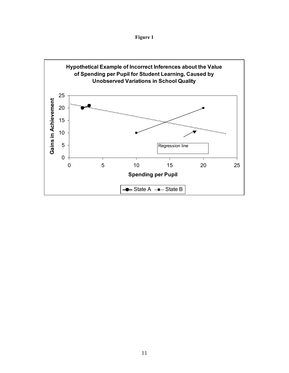

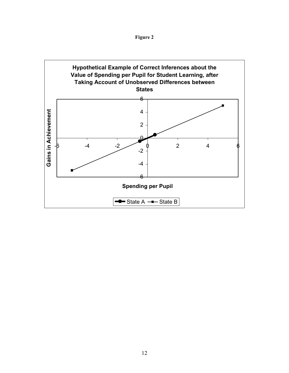

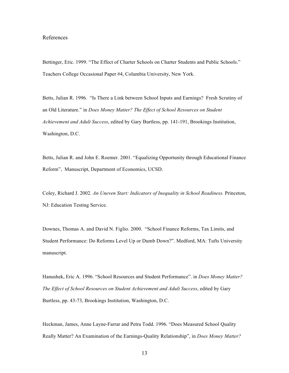## References

Bettinger, Eric. 1999. "The Effect of Charter Schools on Charter Students and Public Schools." Teachers College Occasional Paper #4, Columbia University, New York.

Betts, Julian R. 1996. "Is There a Link between School Inputs and Earnings? Fresh Scrutiny of an Old Literature." in *Does Money Matter? The Effect of School Resources on Student Achievement and Adult Success*, edited by Gary Burtless, pp. 141-191, Brookings Institution, Washington, D.C.

Betts, Julian R. and John E. Roemer. 2001. "Equalizing Opportunity through Educational Finance Reform", Manuscript, Department of Economics, UCSD.

Coley, Richard J. 2002. *An Uneven Start: Indicators of Inequality in School Readiness.* Princeton, NJ: Education Testing Service.

Downes, Thomas A. and David N. Figlio. 2000. "School Finance Reforms, Tax Limits, and Student Performance: Do Reforms Level Up or Dumb Down?". Medford, MA: Tufts University manuscript.

Hanushek, Eric A. 1996. "School Resources and Student Performance". in *Does Money Matter? The Effect of School Resources on Student Achievement and Adult Success*, edited by Gary Burtless, pp. 43-73, Brookings Institution, Washington, D.C.

Heckman, James, Anne Layne-Farrar and Petra Todd. 1996. "Does Measured School Quality Really Matter? An Examination of the Earnings-Quality Relationship", in *Does Money Matter?*